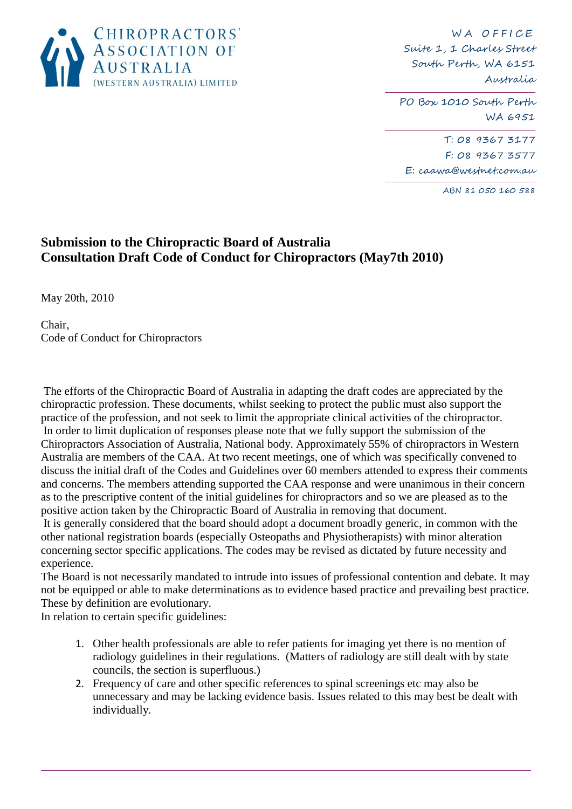

W A OFFICE Suite 1, 1 Charles Street South Perth, WA 6151 Australia

PO Box 1010 South Perth WA 6951

T: 08 9367 3177 F: 08 9367 3577 E: caawa@westnet.com.au

ABN 81 050 160 588

## **Submission to the Chiropractic Board of Australia Consultation Draft Code of Conduct for Chiropractors (May7th 2010)**

May 20th, 2010

Chair, Code of Conduct for Chiropractors

The efforts of the Chiropractic Board of Australia in adapting the draft codes are appreciated by the chiropractic profession. These documents, whilst seeking to protect the public must also support the practice of the profession, and not seek to limit the appropriate clinical activities of the chiropractor. In order to limit duplication of responses please note that we fully support the submission of the Chiropractors Association of Australia, National body. Approximately 55% of chiropractors in Western Australia are members of the CAA. At two recent meetings, one of which was specifically convened to discuss the initial draft of the Codes and Guidelines over 60 members attended to express their comments and concerns. The members attending supported the CAA response and were unanimous in their concern as to the prescriptive content of the initial guidelines for chiropractors and so we are pleased as to the positive action taken by the Chiropractic Board of Australia in removing that document.

It is generally considered that the board should adopt a document broadly generic, in common with the other national registration boards (especially Osteopaths and Physiotherapists) with minor alteration concerning sector specific applications. The codes may be revised as dictated by future necessity and experience.

The Board is not necessarily mandated to intrude into issues of professional contention and debate. It may not be equipped or able to make determinations as to evidence based practice and prevailing best practice. These by definition are evolutionary.

In relation to certain specific guidelines:

- 1. Other health professionals are able to refer patients for imaging yet there is no mention of radiology guidelines in their regulations. (Matters of radiology are still dealt with by state councils, the section is superfluous.)
- 2. Frequency of care and other specific references to spinal screenings etc may also be unnecessary and may be lacking evidence basis. Issues related to this may best be dealt with individually.